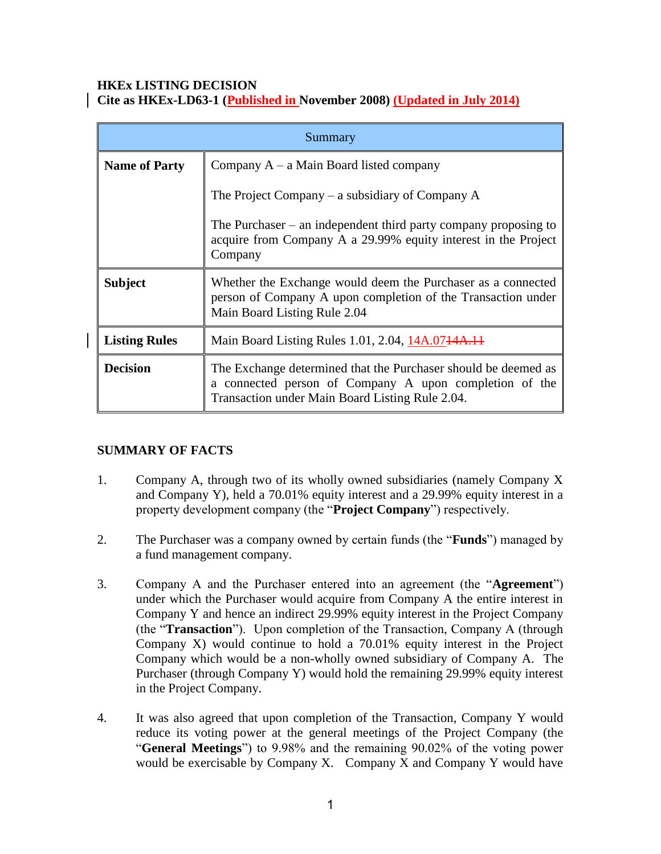#### **HKEx LISTING DECISION Cite as HKEx-LD63-1 (Published in November 2008) (Updated in July 2014)**

| Summary              |                                                                                                                                                                             |  |
|----------------------|-----------------------------------------------------------------------------------------------------------------------------------------------------------------------------|--|
| <b>Name of Party</b> | Company $A - a$ Main Board listed company                                                                                                                                   |  |
|                      | The Project Company $-$ a subsidiary of Company A                                                                                                                           |  |
|                      | The Purchaser $-$ an independent third party company proposing to<br>acquire from Company A a 29.99% equity interest in the Project<br>Company                              |  |
| <b>Subject</b>       | Whether the Exchange would deem the Purchaser as a connected<br>person of Company A upon completion of the Transaction under<br>Main Board Listing Rule 2.04                |  |
| <b>Listing Rules</b> | Main Board Listing Rules 1.01, 2.04, 14A.0744A.11                                                                                                                           |  |
| <b>Decision</b>      | The Exchange determined that the Purchaser should be deemed as<br>a connected person of Company A upon completion of the<br>Transaction under Main Board Listing Rule 2.04. |  |

# **SUMMARY OF FACTS**

- 1. Company A, through two of its wholly owned subsidiaries (namely Company X and Company Y), held a 70.01% equity interest and a 29.99% equity interest in a property development company (the "**Project Company**") respectively.
- 2. The Purchaser was a company owned by certain funds (the "**Funds**") managed by a fund management company.
- 3. Company A and the Purchaser entered into an agreement (the "**Agreement**") under which the Purchaser would acquire from Company A the entire interest in Company Y and hence an indirect 29.99% equity interest in the Project Company (the "**Transaction**"). Upon completion of the Transaction, Company A (through Company X) would continue to hold a 70.01% equity interest in the Project Company which would be a non-wholly owned subsidiary of Company A. The Purchaser (through Company Y) would hold the remaining 29.99% equity interest in the Project Company.
- 4. It was also agreed that upon completion of the Transaction, Company Y would reduce its voting power at the general meetings of the Project Company (the "**General Meetings**") to 9.98% and the remaining 90.02% of the voting power would be exercisable by Company X. Company X and Company Y would have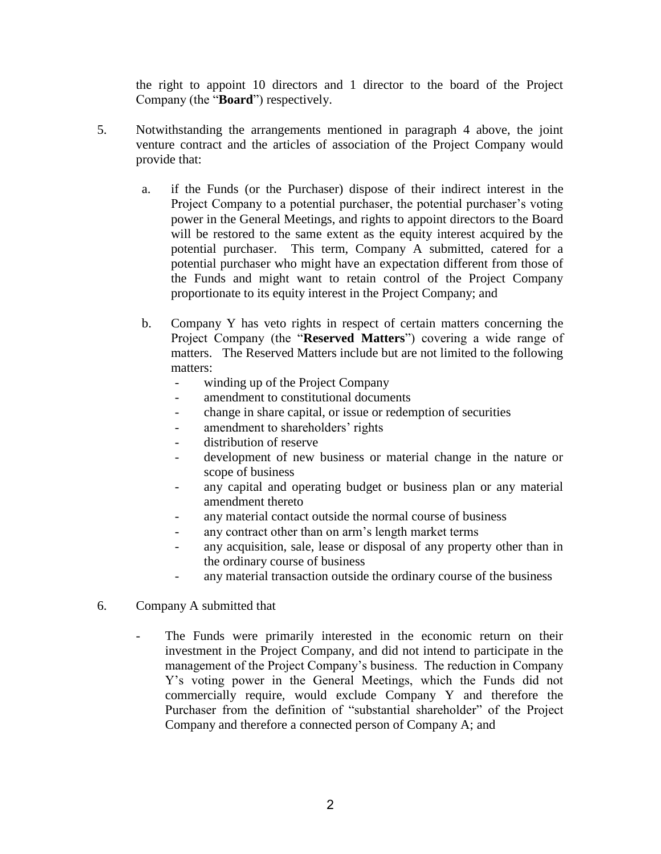the right to appoint 10 directors and 1 director to the board of the Project Company (the "**Board**") respectively.

- 5. Notwithstanding the arrangements mentioned in paragraph 4 above, the joint venture contract and the articles of association of the Project Company would provide that:
	- a. if the Funds (or the Purchaser) dispose of their indirect interest in the Project Company to a potential purchaser, the potential purchaser's voting power in the General Meetings, and rights to appoint directors to the Board will be restored to the same extent as the equity interest acquired by the potential purchaser. This term, Company A submitted, catered for a potential purchaser who might have an expectation different from those of the Funds and might want to retain control of the Project Company proportionate to its equity interest in the Project Company; and
	- b. Company Y has veto rights in respect of certain matters concerning the Project Company (the "**Reserved Matters**") covering a wide range of matters. The Reserved Matters include but are not limited to the following matters:
		- winding up of the Project Company
		- amendment to constitutional documents
		- change in share capital, or issue or redemption of securities
		- amendment to shareholders' rights
		- distribution of reserve
		- development of new business or material change in the nature or scope of business
		- any capital and operating budget or business plan or any material amendment thereto
		- any material contact outside the normal course of business
		- any contract other than on arm's length market terms
		- any acquisition, sale, lease or disposal of any property other than in the ordinary course of business
		- any material transaction outside the ordinary course of the business
- 6. Company A submitted that
	- The Funds were primarily interested in the economic return on their investment in the Project Company, and did not intend to participate in the management of the Project Company's business. The reduction in Company Y's voting power in the General Meetings, which the Funds did not commercially require, would exclude Company Y and therefore the Purchaser from the definition of "substantial shareholder" of the Project Company and therefore a connected person of Company A; and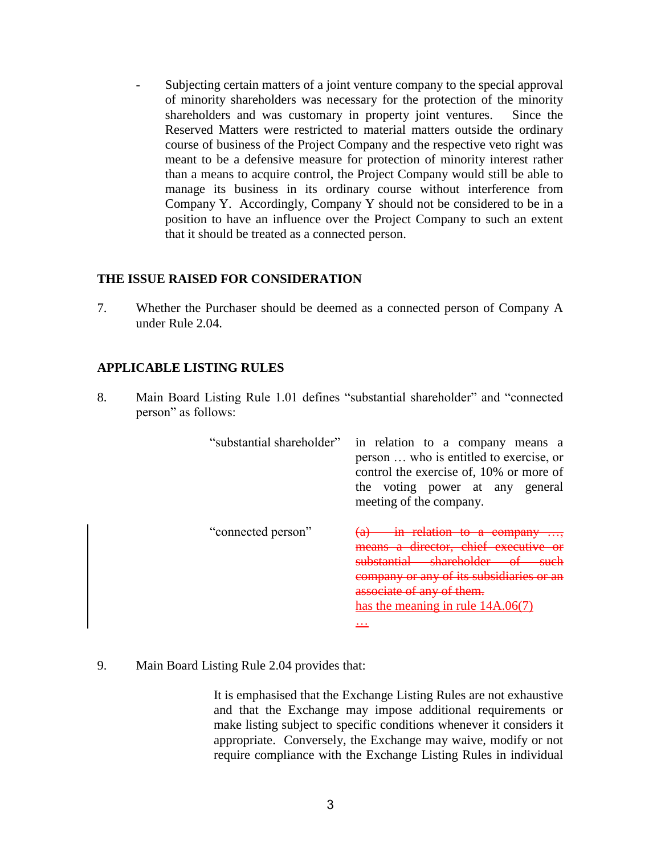Subjecting certain matters of a joint venture company to the special approval of minority shareholders was necessary for the protection of the minority shareholders and was customary in property joint ventures. Since the Reserved Matters were restricted to material matters outside the ordinary course of business of the Project Company and the respective veto right was meant to be a defensive measure for protection of minority interest rather than a means to acquire control, the Project Company would still be able to manage its business in its ordinary course without interference from Company Y. Accordingly, Company Y should not be considered to be in a position to have an influence over the Project Company to such an extent that it should be treated as a connected person.

#### **THE ISSUE RAISED FOR CONSIDERATION**

7. Whether the Purchaser should be deemed as a connected person of Company A under Rule 2.04.

### **APPLICABLE LISTING RULES**

8. Main Board Listing Rule 1.01 defines "substantial shareholder" and "connected person" as follows:

| "substantial shareholder" | in relation to a company means a<br>person  who is entitled to exercise, or<br>control the exercise of, 10% or more of<br>the voting power at any general<br>meeting of the company. |
|---------------------------|--------------------------------------------------------------------------------------------------------------------------------------------------------------------------------------|
| "connected person"        | means a director. chief executive<br>ny of its subsidiaries<br>has the meaning in rule $14A.06(7)$<br>.                                                                              |

9. Main Board Listing Rule 2.04 provides that:

It is emphasised that the Exchange Listing Rules are not exhaustive and that the Exchange may impose additional requirements or make listing subject to specific conditions whenever it considers it appropriate. Conversely, the Exchange may waive, modify or not require compliance with the Exchange Listing Rules in individual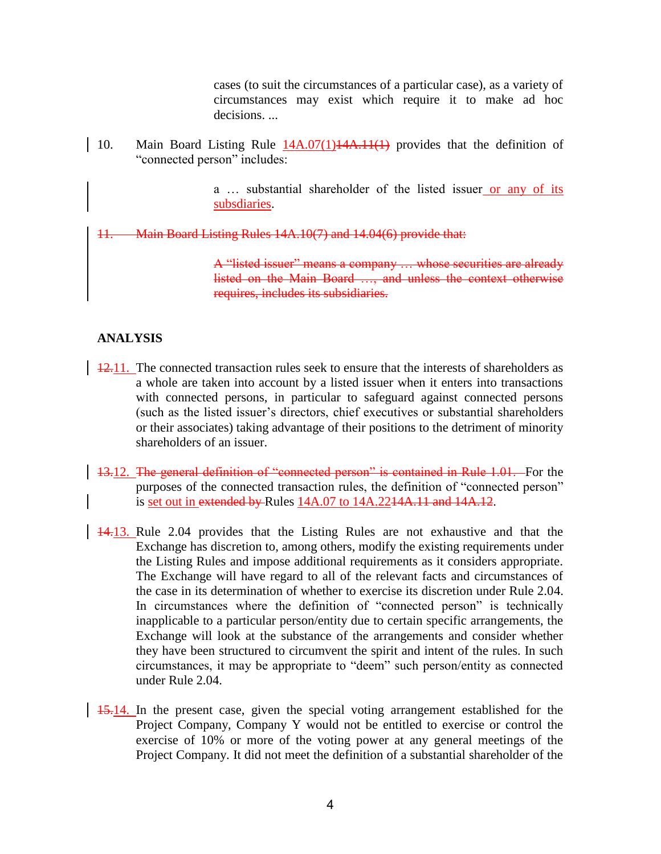cases (to suit the circumstances of a particular case), as a variety of circumstances may exist which require it to make ad hoc decisions. ...

10. Main Board Listing Rule  $14A.07(1)14A.11(1)$  provides that the definition of "connected person" includes:

> a … substantial shareholder of the listed issuer or any of its subsdiaries.

11. Main Board Listing Rules 14A.10(7) and 14.04(6) provide that:

A "listed issuer" means a company … whose securities are already listed on the Main Board …, and unless the context otherwise requires, includes its subsidiaries.

### **ANALYSIS**

- 12.11. The connected transaction rules seek to ensure that the interests of shareholders as a whole are taken into account by a listed issuer when it enters into transactions with connected persons, in particular to safeguard against connected persons (such as the listed issuer's directors, chief executives or substantial shareholders or their associates) taking advantage of their positions to the detriment of minority shareholders of an issuer.
- 13.12. The general definition of "connected person" is contained in Rule 1.01. For the purposes of the connected transaction rules, the definition of "connected person" is set out in extended by Rules 14A.07 to 14A.2214A.11 and 14A.12.
- 14.13. Rule 2.04 provides that the Listing Rules are not exhaustive and that the Exchange has discretion to, among others, modify the existing requirements under the Listing Rules and impose additional requirements as it considers appropriate. The Exchange will have regard to all of the relevant facts and circumstances of the case in its determination of whether to exercise its discretion under Rule 2.04. In circumstances where the definition of "connected person" is technically inapplicable to a particular person/entity due to certain specific arrangements, the Exchange will look at the substance of the arrangements and consider whether they have been structured to circumvent the spirit and intent of the rules. In such circumstances, it may be appropriate to "deem" such person/entity as connected under Rule 2.04.
- 15.14. In the present case, given the special voting arrangement established for the Project Company, Company Y would not be entitled to exercise or control the exercise of 10% or more of the voting power at any general meetings of the Project Company. It did not meet the definition of a substantial shareholder of the